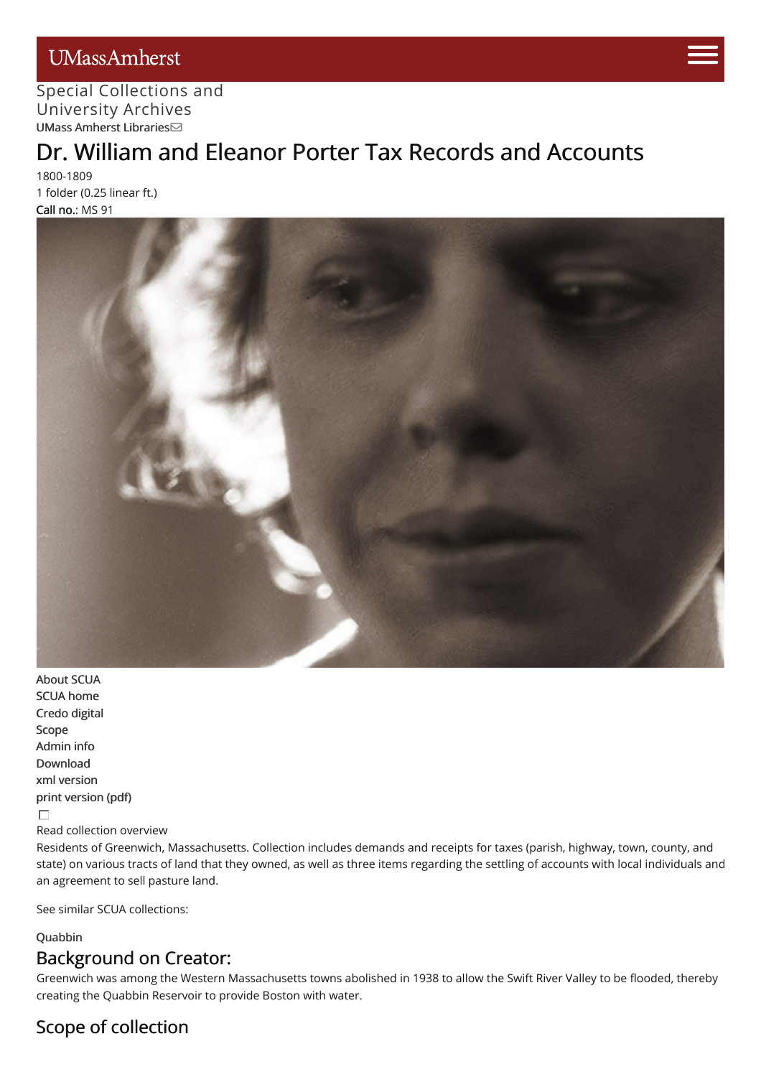## UMassAmherst



#### Special [Collections](http://scua.library.umass.edu) [and](https://www.umass.edu/admissions/visits/visit-campus) University Archives UMass Amherst [Libraries](http://library.umass.edu)

# Dr. William and [Elea](https://www.umass.edu/admissions)nor Porter Tax Records and Accounts

1800-1809 1 folder (0.25 linear ft.) Call no.: MS 91



[About](http://scua.library.umass.edu/) SCUA SCUA [home](http://scua.library.umass.edu) [Credo](http://credo.library.umass.edu/) digital [Scope](#page-0-0) [Admin](#page-1-0) info [Download](http://scua.library.umass.edu/) xml [version](file:///tmp/mums091.xml) print [version](file:///tmp/mums091.pdf) (pdf)  $\Box$ 

Read collection overview

Residents of Greenwich, Massachusetts. Collection includes demands and receipts for taxes (parish, highway, town, county, and state) on various tracts of land that they owned, as well as three items regarding the settling of accounts with local individuals and an agreement to sell pasture land.

See similar SCUA collections:

#### [Quabbin](http://scua.library.umass.edu/umarmot/category/new-england/massachusetts-central-quabbin)

## Background on Creator:

Greenwich was among the Western Massachusetts towns abolished in 1938 to allow the Swift River Valley to be flooded, thereby creating the Quabbin Reservoir to provide Boston with water.

## <span id="page-0-0"></span>Scope of collection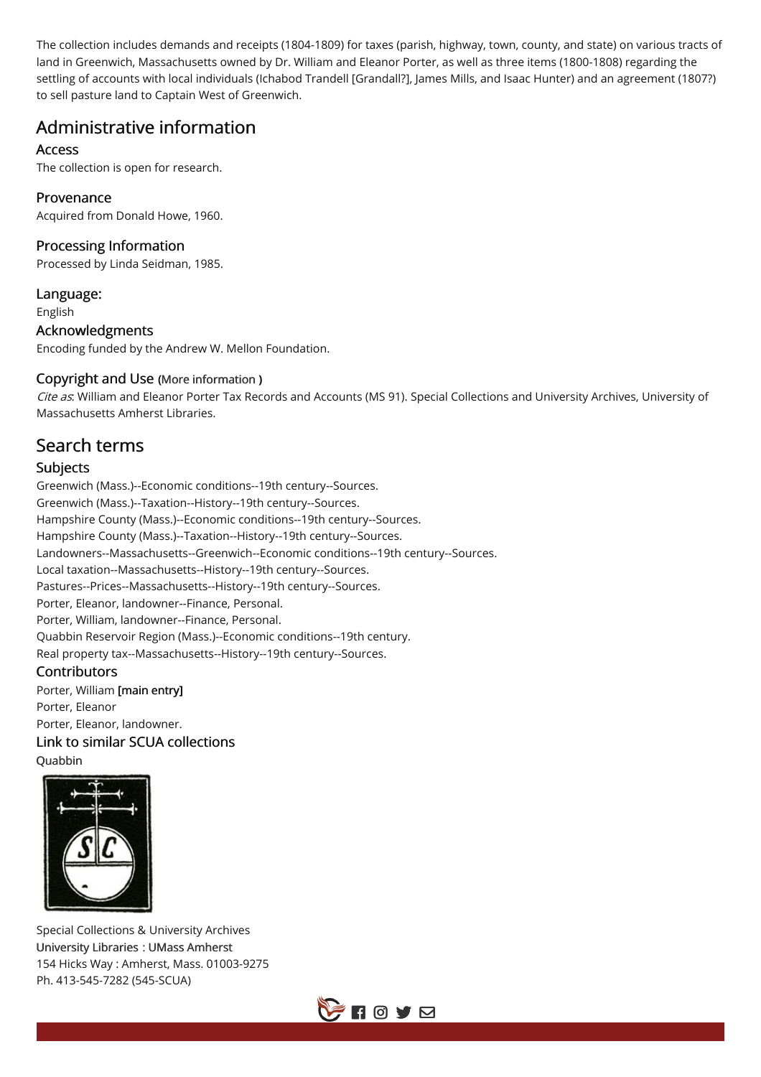The collection includes demands and receipts (1804-1809) for taxes (parish, highway, town, county, and state) on various tracts of land in Greenwich, Massachusetts owned by Dr. William and Eleanor Porter, as well as three items (1800-1808) regarding the settling of accounts with local individuals (Ichabod Trandell [Grandall?], James Mills, and Isaac Hunter) and an agreement (1807?) to sell pasture land to Captain West of Greenwich.

## <span id="page-1-0"></span>Administrative information

#### **Access**

The collection is open for research.

#### Provenance

Acquired from Donald Howe, 1960.

#### Processing Information

Processed by Linda Seidman, 1985.

Language: English

Acknowledgments

Encoding funded by the Andrew W. Mellon Foundation.

#### Copyright and Use (More [information](http://scua.library.umass.edu/umarmot/?page_id=690) )

Cite as: William and Eleanor Porter Tax Records and Accounts (MS 91). Special Collections and University Archives, University of Massachusetts Amherst Libraries.

## Search terms

#### Subjects

Greenwich (Mass.)--Economic conditions--19th century--Sources. Greenwich (Mass.)--Taxation--History--19th century--Sources. Hampshire County (Mass.)--Economic conditions--19th century--Sources. Hampshire County (Mass.)--Taxation--History--19th century--Sources. Landowners--Massachusetts--Greenwich--Economic conditions--19th century--Sources. Local taxation--Massachusetts--History--19th century--Sources. Pastures--Prices--Massachusetts--History--19th century--Sources. Porter, Eleanor, landowner--Finance, Personal. Porter, William, landowner--Finance, Personal. Quabbin Reservoir Region (Mass.)--Economic conditions--19th century. Real property tax--Massachusetts--History--19th century--Sources.

#### **Contributors**

Porter, William [main entry] Porter, Eleanor Porter, Eleanor, landowner. Link to similar SCUA collections **Ouabbin** 



Special Collections & University Archives [University](http://www.library.umass.edu/) Libraries : UMass [Amherst](http://www.umass.edu/) 154 Hicks Way : Amherst, Mass. 01003-9275 Ph. 413-545-7282 (545-SCUA)